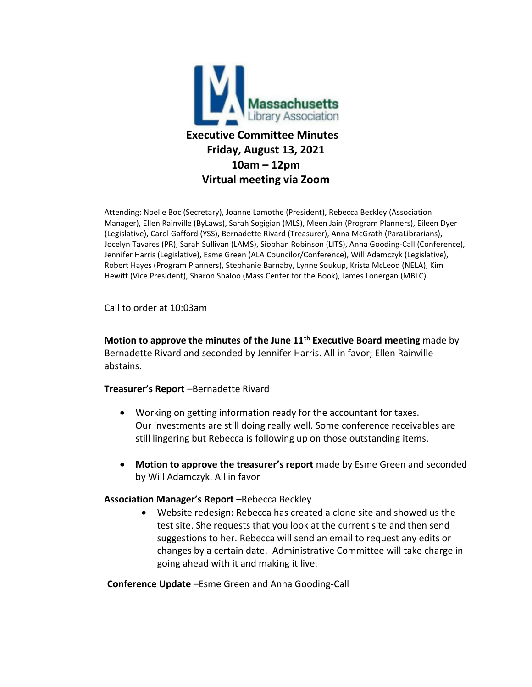

Attending: Noelle Boc (Secretary), Joanne Lamothe (President), Rebecca Beckley (Association Manager), Ellen Rainville (ByLaws), Sarah Sogigian (MLS), Meen Jain (Program Planners), Eileen Dyer (Legislative), Carol Gafford (YSS), Bernadette Rivard (Treasurer), Anna McGrath (ParaLibrarians), Jocelyn Tavares (PR), Sarah Sullivan (LAMS), Siobhan Robinson (LITS), Anna Gooding-Call (Conference), Jennifer Harris (Legislative), Esme Green (ALA Councilor/Conference), Will Adamczyk (Legislative), Robert Hayes (Program Planners), Stephanie Barnaby, Lynne Soukup, Krista McLeod (NELA), Kim Hewitt (Vice President), Sharon Shaloo (Mass Center for the Book), James Lonergan (MBLC)

Call to order at 10:03am

**Motion to approve the minutes of the June 11th Executive Board meeting** made by Bernadette Rivard and seconded by Jennifer Harris. All in favor; Ellen Rainville abstains.

**Treasurer's Report** –Bernadette Rivard

- Working on getting information ready for the accountant for taxes. Our investments are still doing really well. Some conference receivables are still lingering but Rebecca is following up on those outstanding items.
- **Motion to approve the treasurer's report** made by Esme Green and seconded by Will Adamczyk. All in favor

#### **Association Manager's Report** –Rebecca Beckley

• Website redesign: Rebecca has created a clone site and showed us the test site. She requests that you look at the current site and then send suggestions to her. Rebecca will send an email to request any edits or changes by a certain date. Administrative Committee will take charge in going ahead with it and making it live.

**Conference Update** –Esme Green and Anna Gooding-Call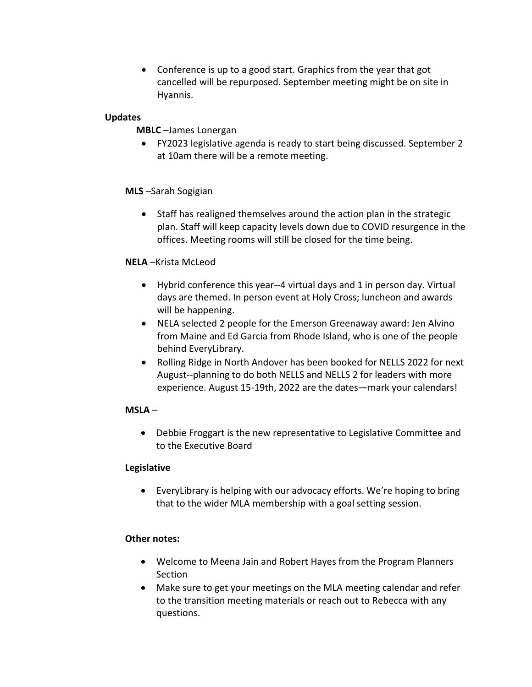• Conference is up to a good start. Graphics from the year that got cancelled will be repurposed. September meeting might be on site in Hyannis.

### **Updates**

## **MBLC** –James Lonergan

• FY2023 legislative agenda is ready to start being discussed. September 2 at 10am there will be a remote meeting.

### **MLS** –Sarah Sogigian

• Staff has realigned themselves around the action plan in the strategic plan. Staff will keep capacity levels down due to COVID resurgence in the offices. Meeting rooms will still be closed for the time being.

### **NELA** –Krista McLeod

- Hybrid conference this year--4 virtual days and 1 in person day. Virtual days are themed. In person event at Holy Cross; luncheon and awards will be happening.
- NELA selected 2 people for the Emerson Greenaway award: Jen Alvino from Maine and Ed Garcia from Rhode Island, who is one of the people behind EveryLibrary.
- Rolling Ridge in North Andover has been booked for NELLS 2022 for next August--planning to do both NELLS and NELLS 2 for leaders with more experience. August 15-19th, 2022 are the dates—mark your calendars!

# **MSLA** –

• Debbie Froggart is the new representative to Legislative Committee and to the Executive Board

#### **Legislative**

• EveryLibrary is helping with our advocacy efforts. We're hoping to bring that to the wider MLA membership with a goal setting session.

# **Other notes:**

- Welcome to Meena Jain and Robert Hayes from the Program Planners Section
- Make sure to get your meetings on the MLA meeting calendar and refer to the transition meeting materials or reach out to Rebecca with any questions.